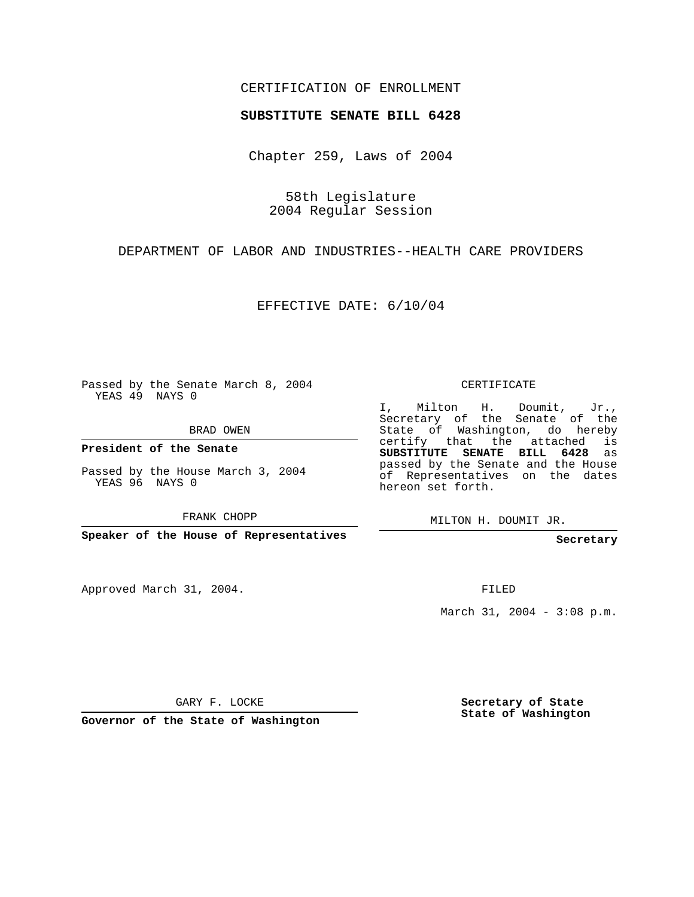## CERTIFICATION OF ENROLLMENT

## **SUBSTITUTE SENATE BILL 6428**

Chapter 259, Laws of 2004

58th Legislature 2004 Regular Session

DEPARTMENT OF LABOR AND INDUSTRIES--HEALTH CARE PROVIDERS

EFFECTIVE DATE: 6/10/04

Passed by the Senate March 8, 2004 YEAS 49 NAYS 0

BRAD OWEN

**President of the Senate**

Passed by the House March 3, 2004 YEAS 96 NAYS 0

FRANK CHOPP

**Speaker of the House of Representatives**

Approved March 31, 2004.

CERTIFICATE

I, Milton H. Doumit, Jr., Secretary of the Senate of the State of Washington, do hereby certify that the attached is **SUBSTITUTE SENATE BILL 6428** as passed by the Senate and the House of Representatives on the dates hereon set forth.

MILTON H. DOUMIT JR.

**Secretary**

FILED

March 31, 2004 - 3:08 p.m.

GARY F. LOCKE

**Governor of the State of Washington**

**Secretary of State State of Washington**